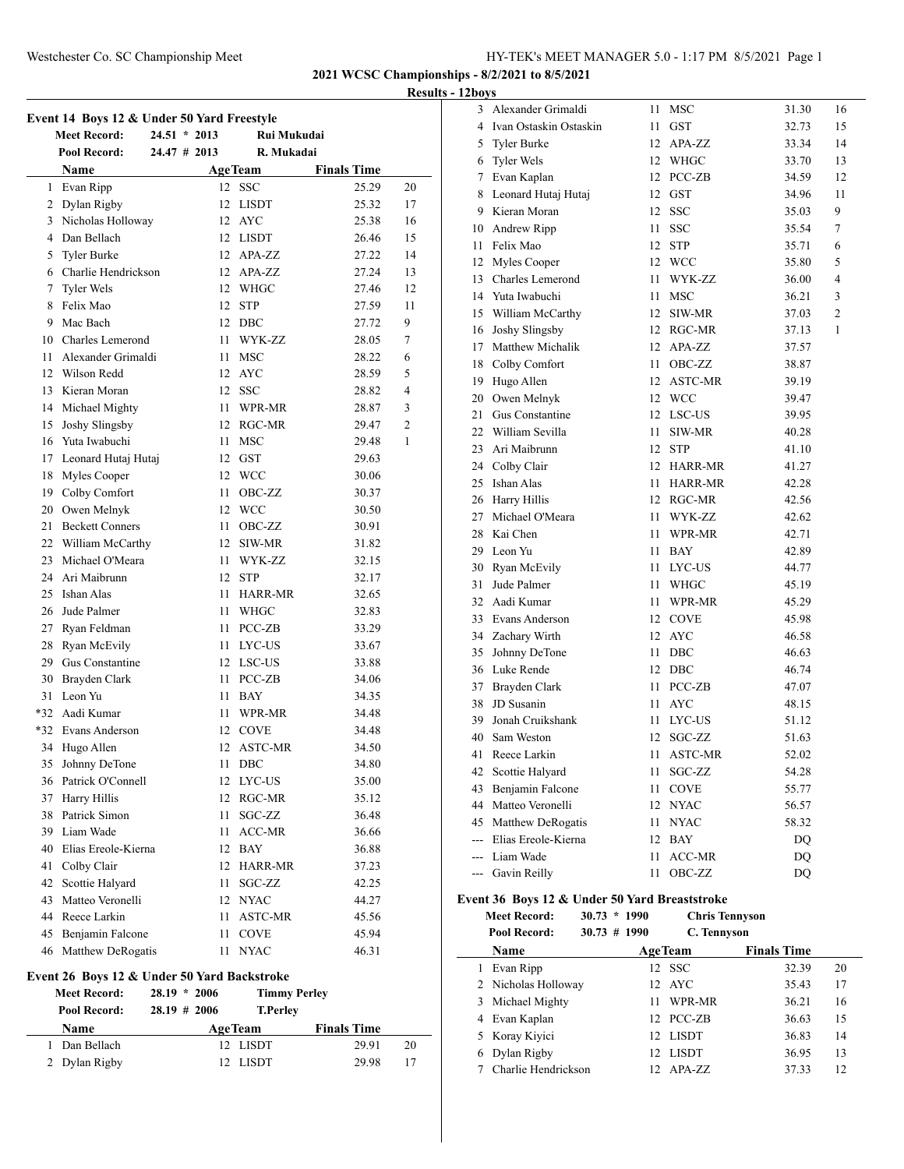**2021 WCSC Championships - 8/2/2021 to 8/5/2021**

**Results - 12boys**

| Event 14 Boys 12 & Under 50 Yard Freestyle |                                             |                |      |                |                    |                |  |
|--------------------------------------------|---------------------------------------------|----------------|------|----------------|--------------------|----------------|--|
|                                            | <b>Meet Record:</b>                         | $24.51 * 2013$ |      | Rui Mukudai    |                    |                |  |
|                                            | Pool Record:                                | $24.47$ # 2013 |      | R. Mukadai     |                    |                |  |
|                                            | Name                                        |                |      | <b>AgeTeam</b> | <b>Finals Time</b> |                |  |
|                                            | 1 Evan Ripp                                 |                |      | 12 SSC         | 25.29              | 20             |  |
|                                            | 2 Dylan Rigby                               |                |      | 12 LISDT       | 25.32              | 17             |  |
|                                            | 3 Nicholas Holloway                         |                |      | 12 AYC         | 25.38              | 16             |  |
|                                            | 4 Dan Bellach                               |                |      | 12 LISDT       | 26.46              | 15             |  |
|                                            | 5 Tyler Burke                               |                |      | 12 APA-ZZ      | 27.22              | 14             |  |
|                                            | 6 Charlie Hendrickson                       |                |      | 12 APA-ZZ      | 27.24              | 13             |  |
|                                            | 7 Tyler Wels                                |                |      | 12 WHGC        | 27.46              | 12             |  |
|                                            | 8 Felix Mao                                 |                |      | 12 STP         | 27.59              | 11             |  |
|                                            | 9 Mac Bach                                  |                |      | 12 DBC         | 27.72              | 9              |  |
|                                            | 10 Charles Lemerond                         |                | 11 - | WYK-ZZ         | 28.05              | 7              |  |
|                                            | 11 Alexander Grimaldi                       |                | 11 - | <b>MSC</b>     | 28.22              | 6              |  |
|                                            | 12 Wilson Redd                              |                |      | 12 AYC         | 28.59              | 5              |  |
|                                            | 13 Kieran Moran                             |                |      | 12 SSC         | 28.82              | 4              |  |
|                                            | 14 Michael Mighty                           |                | 11 - | WPR-MR         | 28.87              | 3              |  |
| 15                                         | Joshy Slingsby                              |                |      | 12 RGC-MR      | 29.47              | $\overline{c}$ |  |
|                                            | 16 Yuta Iwabuchi                            |                | 11 - | <b>MSC</b>     | 29.48              | 1              |  |
|                                            | 17 Leonard Hutaj Hutaj                      |                |      | 12 GST         | 29.63              |                |  |
|                                            | 18 Myles Cooper                             |                |      | 12 WCC         | 30.06              |                |  |
|                                            | 19 Colby Comfort                            |                | 11 - | OBC-ZZ         | 30.37              |                |  |
|                                            | 20 Owen Melnyk                              |                |      | 12 WCC         | 30.50              |                |  |
| 21                                         | <b>Beckett Conners</b>                      |                | 11   | OBC-ZZ         | 30.91              |                |  |
|                                            | 22 William McCarthy                         |                |      | 12 SIW-MR      | 31.82              |                |  |
|                                            | 23 Michael O'Meara                          |                | 11 - | WYK-ZZ         | 32.15              |                |  |
|                                            | 24 Ari Maibrunn                             |                | 12   | <b>STP</b>     | 32.17              |                |  |
|                                            | 25 Ishan Alas                               |                | 11   | HARR-MR        | 32.65              |                |  |
|                                            | 26 Jude Palmer                              |                | 11   | WHGC           | 32.83              |                |  |
|                                            | 27 Ryan Feldman                             |                | 11.  | PCC-ZB         | 33.29              |                |  |
|                                            | 28 Ryan McEvily                             |                | 11 - | LYC-US         | 33.67              |                |  |
|                                            | 29 Gus Constantine                          |                |      | 12 LSC-US      | 33.88              |                |  |
|                                            | 30 Brayden Clark                            |                | 11 - | PCC-ZB         | 34.06              |                |  |
|                                            | 31 Leon Yu                                  |                | 11 - | BAY            | 34.35              |                |  |
|                                            | *32 Aadi Kumar                              |                | 11 - | WPR-MR         | 34.48              |                |  |
|                                            | *32 Evans Anderson                          |                |      | 12 COVE        | 34.48              |                |  |
|                                            | 34 Hugo Allen                               |                |      | 12 ASTC-MR     | 34.50              |                |  |
|                                            | 35 Johnny DeTone                            |                |      | 11 DBC         | 34.80              |                |  |
|                                            | 36 Patrick O'Connell                        |                |      | 12 LYC-US      | 35.00              |                |  |
|                                            | 37 Harry Hillis                             |                | 12   | $RGC-MR$       | 35.12              |                |  |
|                                            | 38 Patrick Simon                            |                | 11   | SGC-ZZ         | 36.48              |                |  |
|                                            | 39 Liam Wade                                |                | 11   | ACC-MR         | 36.66              |                |  |
|                                            | 40 Elias Ereole-Kierna                      |                |      | 12 BAY         | 36.88              |                |  |
|                                            | 41 Colby Clair                              |                |      | 12 HARR-MR     | 37.23              |                |  |
|                                            | 42 Scottie Halyard                          |                | 11   | SGC-ZZ         | 42.25              |                |  |
|                                            | 43 Matteo Veronelli                         |                |      | 12 NYAC        | 44.27              |                |  |
|                                            | 44 Reece Larkin                             |                | 11 - | ASTC-MR        | 45.56              |                |  |
|                                            | 45 Benjamin Falcone                         |                | 11   | COVE           | 45.94              |                |  |
|                                            | 46 Matthew DeRogatis                        |                | 11   | <b>NYAC</b>    | 46.31              |                |  |
|                                            | Event 26 Boys 12 & Under 50 Yard Backstroke |                |      |                |                    |                |  |

**Meet Record: 28.19 \* 2006 Timmy Perley Pool Record: 28.19 # 2006 T.Perley**

**Name Age Team Finals Time**  Dan Bellach 12 LISDT 29.91 20 Dylan Rigby 12 LISDT 29.98 17

| 3              | Alexander Grimaldi       | 11   | MSC            | 31.30     | 16 |
|----------------|--------------------------|------|----------------|-----------|----|
|                | 4 Ivan Ostaskin Ostaskin | 11 - | GST            | 32.73     | 15 |
|                | 5 Tyler Burke            |      | 12 APA-ZZ      | 33.34     | 14 |
|                | 6 Tyler Wels             |      | 12 WHGC        | 33.70     | 13 |
|                | 7 Evan Kaplan            |      | 12 PCC-ZB      | 34.59     | 12 |
|                | 8 Leonard Hutaj Hutaj    |      | 12 GST         | 34.96     | 11 |
|                | 9 Kieran Moran           |      | 12 SSC         | 35.03     | 9  |
|                | 10 Andrew Ripp           | 11   | <b>SSC</b>     | 35.54     | 7  |
|                | 11 Felix Mao             |      | 12 STP         | 35.71     | 6  |
|                | 12 Myles Cooper          |      | 12 WCC         | 35.80     | 5  |
|                | 13 Charles Lemerond      | 11   | WYK-ZZ         | 36.00     | 4  |
|                | 14 Yuta Iwabuchi         |      | 11 MSC         | 36.21     | 3  |
|                | 15 William McCarthy      |      | 12 SIW-MR      | 37.03     | 2  |
| 16             | Joshy Slingsby           |      | 12 RGC-MR      | 37.13     | 1  |
| 17             | Matthew Michalik         |      | 12 APA-ZZ      | 37.57     |    |
|                | 18 Colby Comfort         | 11 - | OBC-ZZ         | 38.87     |    |
|                | 19 Hugo Allen            |      | 12 ASTC-MR     | 39.19     |    |
|                | 20 Owen Melnyk           |      | 12 WCC         | 39.47     |    |
| 21             | Gus Constantine          |      | 12 LSC-US      | 39.95     |    |
|                | 22 William Sevilla       | 11   | SIW-MR         | 40.28     |    |
| 23             | Ari Maibrunn             |      | 12 STP         | 41.10     |    |
|                | 24 Colby Clair           |      | 12 HARR-MR     | 41.27     |    |
|                | 25 Ishan Alas            |      | 11 HARR-MR     | 42.28     |    |
|                | 26 Harry Hillis          |      | 12 RGC-MR      | 42.56     |    |
| 27             | Michael O'Meara          |      | 11 WYK-ZZ      | 42.62     |    |
|                | 28 Kai Chen              | 11 - | WPR-MR         | 42.71     |    |
|                | 29 Leon Yu               | 11   | BAY            | 42.89     |    |
|                | 30 Ryan McEvily          |      | 11 LYC-US      | 44.77     |    |
| 31             | Jude Palmer              |      | 11 WHGC        | 45.19     |    |
|                | 32 Aadi Kumar            |      | 11 WPR-MR      | 45.29     |    |
|                | 33 Evans Anderson        |      | 12 COVE        | 45.98     |    |
|                | 34 Zachary Wirth         |      | 12 AYC         | 46.58     |    |
|                | 35 Johnny DeTone         | 11   | DBC            | 46.63     |    |
|                | 36 Luke Rende            |      | 12 DBC         | 46.74     |    |
|                | 37 Brayden Clark         | 11   | PCC-ZB         | 47.07     |    |
| 38             | JD Susanin               |      | 11 AYC         | 48.15     |    |
| 39             | Jonah Cruikshank         | 11 - | LYC-US         | 51.12     |    |
| 40             | Sam Weston               | 12   | SGC-ZZ         | 51.63     |    |
| 41             | Reece Larkin             | 11   | <b>ASTC-MR</b> | 52.02     |    |
| 42             | Scottie Halyard          | 11   | SGC-ZZ         | 54.28     |    |
| 43             | Benjamin Falcone         | 11   | COVE           | 55.77     |    |
| 44             | Matteo Veronelli         | 12   | <b>NYAC</b>    | 56.57     |    |
| 45             | Matthew DeRogatis        | 11   | <b>NYAC</b>    | 58.32     |    |
| $\overline{a}$ | Elias Ereole-Kierna      | 12   | BAY            | DQ        |    |
| ---            | Liam Wade                | 11   | ACC-MR         | <b>DQ</b> |    |
| ---            | Gavin Reilly             | 11   | OBC-ZZ         | DQ        |    |
|                |                          |      |                |           |    |

## **Event 36 Boys 12 & Under 50 Yard Breaststroke**

 $\overline{a}$ 

**Meet Record: 30.73 \* 1990 Chris Tennyson**

|  | Pool Record: | $30.73 \# 1990$ | C. Tennyson |
|--|--------------|-----------------|-------------|
|--|--------------|-----------------|-------------|

|   | <b>Name</b>         | <b>AgeTeam</b> | <b>Finals Time</b> |  |
|---|---------------------|----------------|--------------------|--|
| L | Evan Ripp           | 12 SSC         | 32.39<br>20        |  |
|   | 2 Nicholas Holloway | 12 AYC         | 17<br>35.43        |  |
|   | 3 Michael Mighty    | WPR-MR         | 16<br>36.21        |  |
|   | 4 Evan Kaplan       | 12 PCC-ZB      | 15<br>36.63        |  |
|   | 5 Koray Kiyici      | 12 LISDT       | 14<br>36.83        |  |
|   | 6 Dylan Rigby       | 12 LISDT       | 36.95<br>13        |  |
|   | Charlie Hendrickson | $APA-ZZ$       | 37.33<br>12        |  |